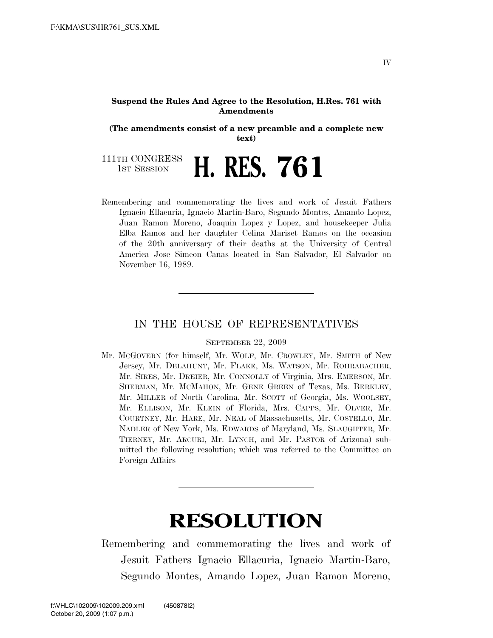## **Suspend the Rules And Agree to the Resolution, H.Res. 761 with Amendments**

**(The amendments consist of a new preamble and a complete new text)** 

111TH CONGRESS **1ST SESSION H. RES. 761** 

Remembering and commemorating the lives and work of Jesuit Fathers Ignacio Ellacuria, Ignacio Martin-Baro, Segundo Montes, Amando Lopez, Juan Ramon Moreno, Joaquin Lopez y Lopez, and housekeeper Julia Elba Ramos and her daughter Celina Mariset Ramos on the occasion of the 20th anniversary of their deaths at the University of Central America Jose Simeon Canas located in San Salvador, El Salvador on November 16, 1989.

## IN THE HOUSE OF REPRESENTATIVES

## SEPTEMBER 22, 2009

Mr. MCGOVERN (for himself, Mr. WOLF, Mr. CROWLEY, Mr. SMITH of New Jersey, Mr. DELAHUNT, Mr. FLAKE, Ms. WATSON, Mr. ROHRABACHER, Mr. SIRES, Mr. DREIER, Mr. CONNOLLY of Virginia, Mrs. EMERSON, Mr. SHERMAN, Mr. MCMAHON, Mr. GENE GREEN of Texas, Ms. BERKLEY, Mr. MILLER of North Carolina, Mr. SCOTT of Georgia, Ms. WOOLSEY, Mr. ELLISON, Mr. KLEIN of Florida, Mrs. CAPPS, Mr. OLVER, Mr. COURTNEY, Mr. HARE, Mr. NEAL of Massachusetts, Mr. COSTELLO, Mr. NADLER of New York, Ms. EDWARDS of Maryland, Ms. SLAUGHTER, Mr. TIERNEY, Mr. ARCURI, Mr. LYNCH, and Mr. PASTOR of Arizona) submitted the following resolution; which was referred to the Committee on Foreign Affairs

## **RESOLUTION**

Remembering and commemorating the lives and work of Jesuit Fathers Ignacio Ellacuria, Ignacio Martin-Baro, Segundo Montes, Amando Lopez, Juan Ramon Moreno,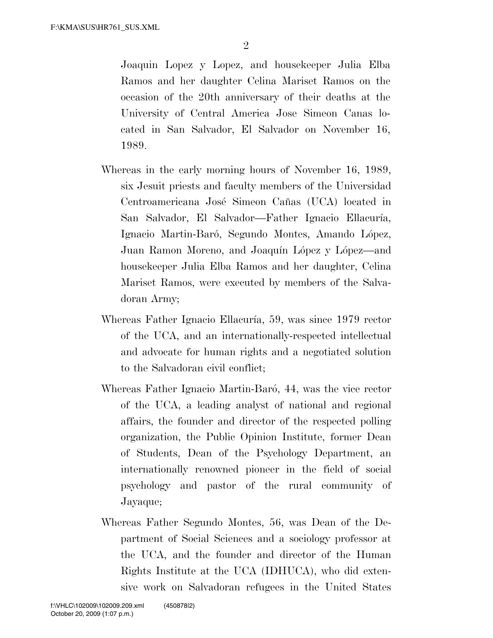Joaquin Lopez y Lopez, and housekeeper Julia Elba Ramos and her daughter Celina Mariset Ramos on the occasion of the 20th anniversary of their deaths at the University of Central America Jose Simeon Canas located in San Salvador, El Salvador on November 16, 1989.

- Whereas in the early morning hours of November 16, 1989, six Jesuit priests and faculty members of the Universidad Centroamericana José Simeon Cañas (UCA) located in San Salvador, El Salvador—Father Ignacio Ellacuría, Ignacio Martin-Baró, Segundo Montes, Amando López, Juan Ramon Moreno, and Joaquín López y López—and housekeeper Julia Elba Ramos and her daughter, Celina Mariset Ramos, were executed by members of the Salvadoran Army;
- Whereas Father Ignacio Ellacuría, 59, was since 1979 rector of the UCA, and an internationally-respected intellectual and advocate for human rights and a negotiated solution to the Salvadoran civil conflict;
- Whereas Father Ignacio Martin-Baró, 44, was the vice rector of the UCA, a leading analyst of national and regional affairs, the founder and director of the respected polling organization, the Public Opinion Institute, former Dean of Students, Dean of the Psychology Department, an internationally renowned pioneer in the field of social psychology and pastor of the rural community of Jayaque;
- Whereas Father Segundo Montes, 56, was Dean of the Department of Social Sciences and a sociology professor at the UCA, and the founder and director of the Human Rights Institute at the UCA (IDHUCA), who did extensive work on Salvadoran refugees in the United States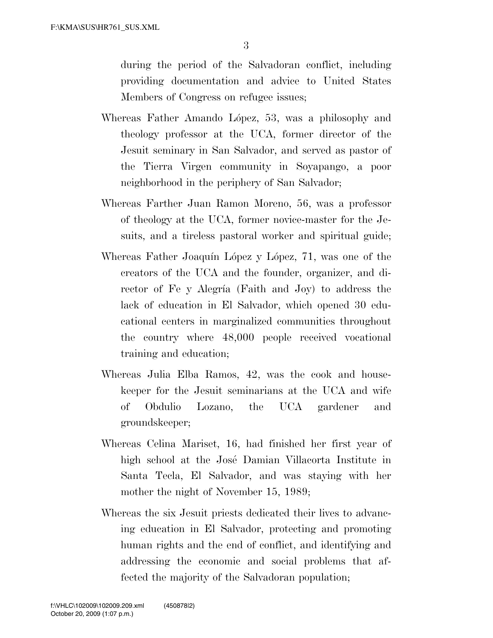during the period of the Salvadoran conflict, including providing documentation and advice to United States Members of Congress on refugee issues;

- Whereas Father Amando López, 53, was a philosophy and theology professor at the UCA, former director of the Jesuit seminary in San Salvador, and served as pastor of the Tierra Virgen community in Soyapango, a poor neighborhood in the periphery of San Salvador;
- Whereas Farther Juan Ramon Moreno, 56, was a professor of theology at the UCA, former novice-master for the Jesuits, and a tireless pastoral worker and spiritual guide;
- Whereas Father Joaquín López y López, 71, was one of the creators of the UCA and the founder, organizer, and director of Fe y Alegría (Faith and Joy) to address the lack of education in El Salvador, which opened 30 educational centers in marginalized communities throughout the country where 48,000 people received vocational training and education;
- Whereas Julia Elba Ramos, 42, was the cook and housekeeper for the Jesuit seminarians at the UCA and wife of Obdulio Lozano, the UCA gardener and groundskeeper;
- Whereas Celina Mariset, 16, had finished her first year of high school at the Jose´ Damian Villacorta Institute in Santa Tecla, El Salvador, and was staying with her mother the night of November 15, 1989;
- Whereas the six Jesuit priests dedicated their lives to advancing education in El Salvador, protecting and promoting human rights and the end of conflict, and identifying and addressing the economic and social problems that affected the majority of the Salvadoran population;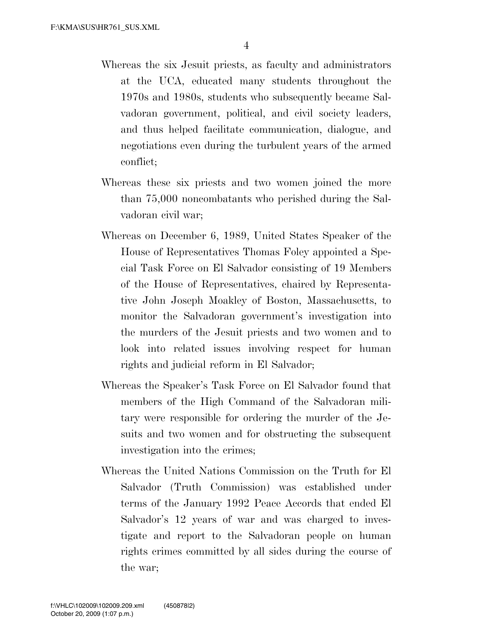- Whereas the six Jesuit priests, as faculty and administrators at the UCA, educated many students throughout the 1970s and 1980s, students who subsequently became Salvadoran government, political, and civil society leaders, and thus helped facilitate communication, dialogue, and negotiations even during the turbulent years of the armed conflict;
- Whereas these six priests and two women joined the more than 75,000 noncombatants who perished during the Salvadoran civil war;
- Whereas on December 6, 1989, United States Speaker of the House of Representatives Thomas Foley appointed a Special Task Force on El Salvador consisting of 19 Members of the House of Representatives, chaired by Representative John Joseph Moakley of Boston, Massachusetts, to monitor the Salvadoran government's investigation into the murders of the Jesuit priests and two women and to look into related issues involving respect for human rights and judicial reform in El Salvador;
- Whereas the Speaker's Task Force on El Salvador found that members of the High Command of the Salvadoran military were responsible for ordering the murder of the Jesuits and two women and for obstructing the subsequent investigation into the crimes;
- Whereas the United Nations Commission on the Truth for El Salvador (Truth Commission) was established under terms of the January 1992 Peace Accords that ended El Salvador's 12 years of war and was charged to investigate and report to the Salvadoran people on human rights crimes committed by all sides during the course of the war;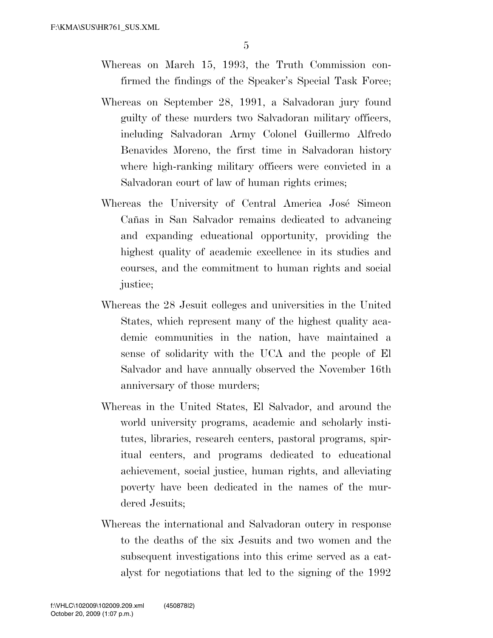- Whereas on March 15, 1993, the Truth Commission confirmed the findings of the Speaker's Special Task Force;
- Whereas on September 28, 1991, a Salvadoran jury found guilty of these murders two Salvadoran military officers, including Salvadoran Army Colonel Guillermo Alfredo Benavides Moreno, the first time in Salvadoran history where high-ranking military officers were convicted in a Salvadoran court of law of human rights crimes;
- Whereas the University of Central America José Simeon Cañas in San Salvador remains dedicated to advancing and expanding educational opportunity, providing the highest quality of academic excellence in its studies and courses, and the commitment to human rights and social justice;
- Whereas the 28 Jesuit colleges and universities in the United States, which represent many of the highest quality academic communities in the nation, have maintained a sense of solidarity with the UCA and the people of El Salvador and have annually observed the November 16th anniversary of those murders;
- Whereas in the United States, El Salvador, and around the world university programs, academic and scholarly institutes, libraries, research centers, pastoral programs, spiritual centers, and programs dedicated to educational achievement, social justice, human rights, and alleviating poverty have been dedicated in the names of the murdered Jesuits;
- Whereas the international and Salvadoran outcry in response to the deaths of the six Jesuits and two women and the subsequent investigations into this crime served as a catalyst for negotiations that led to the signing of the 1992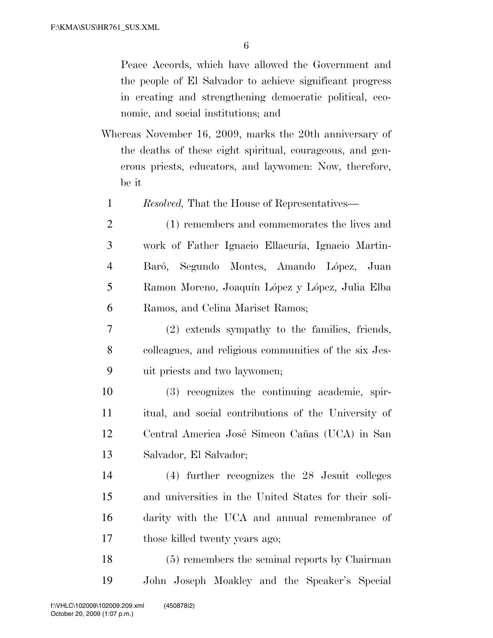Peace Accords, which have allowed the Government and the people of El Salvador to achieve significant progress in creating and strengthening democratic political, economic, and social institutions; and

- Whereas November 16, 2009, marks the 20th anniversary of the deaths of these eight spiritual, courageous, and generous priests, educators, and laywomen: Now, therefore, be it
	- 1 *Resolved,* That the House of Representatives—
	- 2 (1) remembers and commemorates the lives and 3 work of Father Ignacio Ellacuría, Ignacio Martin-4 - Baró, Segundo Montes, Amando López, Juan 5 Ramon Moreno, Joaquín López y López, Julia Elba 6 Ramos, and Celina Mariset Ramos;
- 7 (2) extends sympathy to the families, friends, 8 colleagues, and religious communities of the six Jes-9 uit priests and two laywomen;
- 10 (3) recognizes the continuing academic, spir-11 itual, and social contributions of the University of 12 Central America José Simeon Cañas (UCA) in San 13 Salvador, El Salvador;
- 14 (4) further recognizes the 28 Jesuit colleges 15 and universities in the United States for their soli-16 darity with the UCA and annual remembrance of 17 those killed twenty years ago;
- 18 (5) remembers the seminal reports by Chairman 19 John Joseph Moakley and the Speaker's Special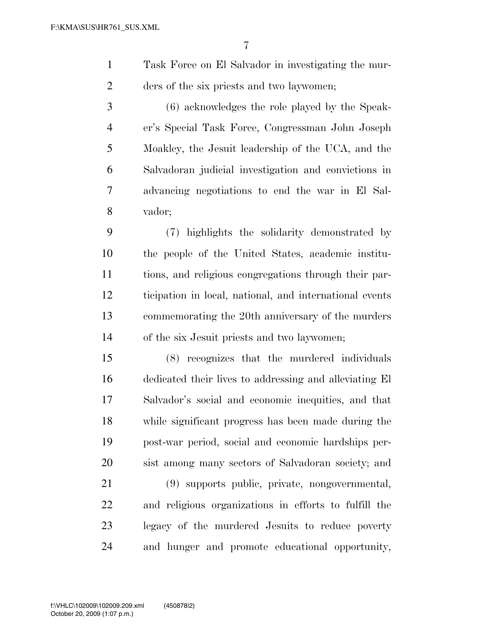- Task Force on El Salvador in investigating the mur-ders of the six priests and two laywomen;
- (6) acknowledges the role played by the Speak- er's Special Task Force, Congressman John Joseph Moakley, the Jesuit leadership of the UCA, and the Salvadoran judicial investigation and convictions in advancing negotiations to end the war in El Sal-vador;

 (7) highlights the solidarity demonstrated by the people of the United States, academic institu- tions, and religious congregations through their par- ticipation in local, national, and international events commemorating the 20th anniversary of the murders of the six Jesuit priests and two laywomen;

 (8) recognizes that the murdered individuals dedicated their lives to addressing and alleviating El Salvador's social and economic inequities, and that while significant progress has been made during the post-war period, social and economic hardships per-sist among many sectors of Salvadoran society; and

 (9) supports public, private, nongovernmental, and religious organizations in efforts to fulfill the legacy of the murdered Jesuits to reduce poverty and hunger and promote educational opportunity,